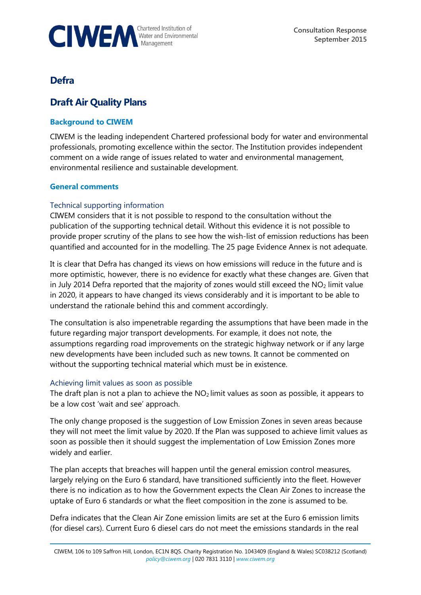

# **Defra**

# **Draft Air Quality Plans**

## **Background to CIWEM**

CIWEM is the leading independent Chartered professional body for water and environmental professionals, promoting excellence within the sector. The Institution provides independent comment on a wide range of issues related to water and environmental management, environmental resilience and sustainable development.

#### **General comments**

### Technical supporting information

CIWEM considers that it is not possible to respond to the consultation without the publication of the supporting technical detail. Without this evidence it is not possible to provide proper scrutiny of the plans to see how the wish-list of emission reductions has been quantified and accounted for in the modelling. The 25 page Evidence Annex is not adequate.

It is clear that Defra has changed its views on how emissions will reduce in the future and is more optimistic, however, there is no evidence for exactly what these changes are. Given that in July 2014 Defra reported that the majority of zones would still exceed the  $NO<sub>2</sub>$  limit value in 2020, it appears to have changed its views considerably and it is important to be able to understand the rationale behind this and comment accordingly.

The consultation is also impenetrable regarding the assumptions that have been made in the future regarding major transport developments. For example, it does not note, the assumptions regarding road improvements on the strategic highway network or if any large new developments have been included such as new towns. It cannot be commented on without the supporting technical material which must be in existence.

#### Achieving limit values as soon as possible

The draft plan is not a plan to achieve the  $NO<sub>2</sub>$  limit values as soon as possible, it appears to be a low cost 'wait and see' approach.

The only change proposed is the suggestion of Low Emission Zones in seven areas because they will not meet the limit value by 2020. If the Plan was supposed to achieve limit values as soon as possible then it should suggest the implementation of Low Emission Zones more widely and earlier.

The plan accepts that breaches will happen until the general emission control measures, largely relying on the Euro 6 standard, have transitioned sufficiently into the fleet. However there is no indication as to how the Government expects the Clean Air Zones to increase the uptake of Euro 6 standards or what the fleet composition in the zone is assumed to be.

Defra indicates that the Clean Air Zone emission limits are set at the Euro 6 emission limits (for diesel cars). Current Euro 6 diesel cars do not meet the emissions standards in the real